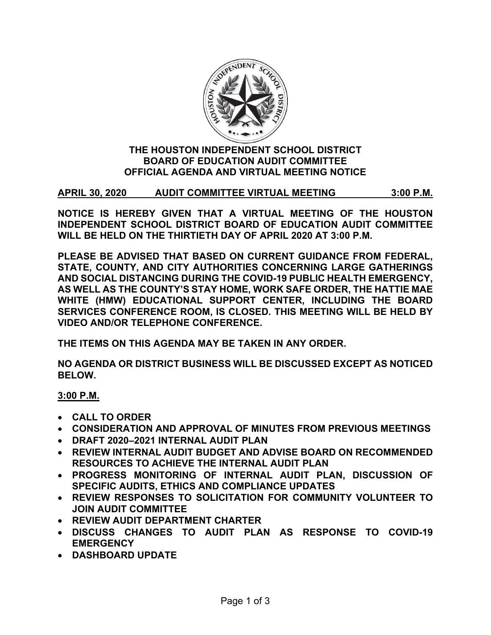

### **THE HOUSTON INDEPENDENT SCHOOL DISTRICT BOARD OF EDUCATION AUDIT COMMITTEE OFFICIAL AGENDA AND VIRTUAL MEETING NOTICE**

**APRIL 30, 2020 AUDIT COMMITTEE VIRTUAL MEETING 3:00 P.M.**

**NOTICE IS HEREBY GIVEN THAT A VIRTUAL MEETING OF THE HOUSTON INDEPENDENT SCHOOL DISTRICT BOARD OF EDUCATION AUDIT COMMITTEE WILL BE HELD ON THE THIRTIETH DAY OF APRIL 2020 AT 3:00 P.M.**

**PLEASE BE ADVISED THAT BASED ON CURRENT GUIDANCE FROM FEDERAL, STATE, COUNTY, AND CITY AUTHORITIES CONCERNING LARGE GATHERINGS AND SOCIAL DISTANCING DURING THE COVID-19 PUBLIC HEALTH EMERGENCY, AS WELL AS THE COUNTY'S STAY HOME, WORK SAFE ORDER, THE HATTIE MAE WHITE (HMW) EDUCATIONAL SUPPORT CENTER, INCLUDING THE BOARD SERVICES CONFERENCE ROOM, IS CLOSED. THIS MEETING WILL BE HELD BY VIDEO AND/OR TELEPHONE CONFERENCE.**

**THE ITEMS ON THIS AGENDA MAY BE TAKEN IN ANY ORDER.**

**NO AGENDA OR DISTRICT BUSINESS WILL BE DISCUSSED EXCEPT AS NOTICED BELOW.**

**3:00 P.M.**

- **CALL TO ORDER**
- **CONSIDERATION AND APPROVAL OF MINUTES FROM PREVIOUS MEETINGS**
- **DRAFT 2020–2021 INTERNAL AUDIT PLAN**
- **REVIEW INTERNAL AUDIT BUDGET AND ADVISE BOARD ON RECOMMENDED RESOURCES TO ACHIEVE THE INTERNAL AUDIT PLAN**
- **PROGRESS MONITORING OF INTERNAL AUDIT PLAN, DISCUSSION OF SPECIFIC AUDITS, ETHICS AND COMPLIANCE UPDATES**
- **REVIEW RESPONSES TO SOLICITATION FOR COMMUNITY VOLUNTEER TO JOIN AUDIT COMMITTEE**
- **REVIEW AUDIT DEPARTMENT CHARTER**
- **DISCUSS CHANGES TO AUDIT PLAN AS RESPONSE TO COVID-19 EMERGENCY**
- **DASHBOARD UPDATE**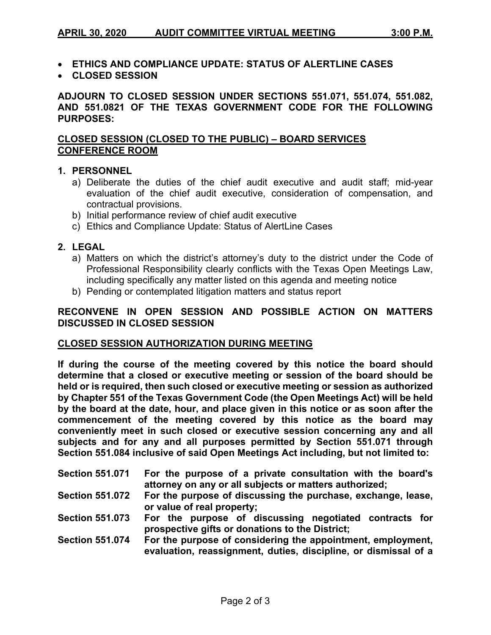- **ETHICS AND COMPLIANCE UPDATE: STATUS OF ALERTLINE CASES**
- **CLOSED SESSION**

**ADJOURN TO CLOSED SESSION UNDER SECTIONS 551.071, 551.074, 551.082, AND 551.0821 OF THE TEXAS GOVERNMENT CODE FOR THE FOLLOWING PURPOSES:**

# **CLOSED SESSION (CLOSED TO THE PUBLIC) – BOARD SERVICES CONFERENCE ROOM**

#### **1. PERSONNEL**

- a) Deliberate the duties of the chief audit executive and audit staff; mid-year evaluation of the chief audit executive, consideration of compensation, and contractual provisions.
- b) Initial performance review of chief audit executive
- c) Ethics and Compliance Update: Status of AlertLine Cases

#### **2. LEGAL**

- a) Matters on which the district's attorney's duty to the district under the Code of Professional Responsibility clearly conflicts with the Texas Open Meetings Law, including specifically any matter listed on this agenda and meeting notice
- b) Pending or contemplated litigation matters and status report

# **RECONVENE IN OPEN SESSION AND POSSIBLE ACTION ON MATTERS DISCUSSED IN CLOSED SESSION**

#### **CLOSED SESSION AUTHORIZATION DURING MEETING**

**If during the course of the meeting covered by this notice the board should determine that a closed or executive meeting or session of the board should be held or is required, then such closed or executive meeting or session as authorized by Chapter 551 of the Texas Government Code (the Open Meetings Act) will be held by the board at the date, hour, and place given in this notice or as soon after the commencement of the meeting covered by this notice as the board may conveniently meet in such closed or executive session concerning any and all subjects and for any and all purposes permitted by Section 551.071 through Section 551.084 inclusive of said Open Meetings Act including, but not limited to:**

| <b>Section 551.071</b> | For the purpose of a private consultation with the board's   |
|------------------------|--------------------------------------------------------------|
|                        | attorney on any or all subjects or matters authorized;       |
| <b>Section 551.072</b> | For the purpose of discussing the purchase, exchange, lease, |

- **or value of real property;**
- **Section 551.073 For the purpose of discussing negotiated contracts for prospective gifts or donations to the District;**
- **Section 551.074 For the purpose of considering the appointment, employment, evaluation, reassignment, duties, discipline, or dismissal of a**